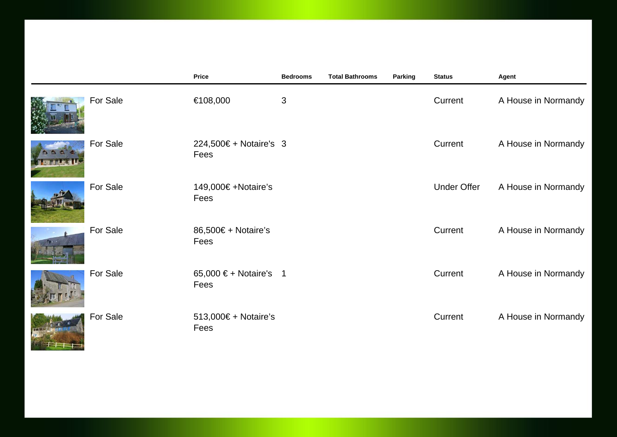|          | Price                          | <b>Bedrooms</b> | <b>Total Bathrooms</b> | Parking | <b>Status</b>      | Agent               |
|----------|--------------------------------|-----------------|------------------------|---------|--------------------|---------------------|
| For Sale | €108,000                       | $\mathfrak{S}$  |                        |         | Current            | A House in Normandy |
| For Sale | 224,500€ + Notaire's 3<br>Fees |                 |                        |         | Current            | A House in Normandy |
| For Sale | 149,000€ +Notaire's<br>Fees    |                 |                        |         | <b>Under Offer</b> | A House in Normandy |
| For Sale | 86,500€ + Notaire's<br>Fees    |                 |                        |         | Current            | A House in Normandy |
| For Sale | 65,000 € + Notaire's 1<br>Fees |                 |                        |         | Current            | A House in Normandy |
| For Sale | 513,000€ + Notaire's<br>Fees   |                 |                        |         | Current            | A House in Normandy |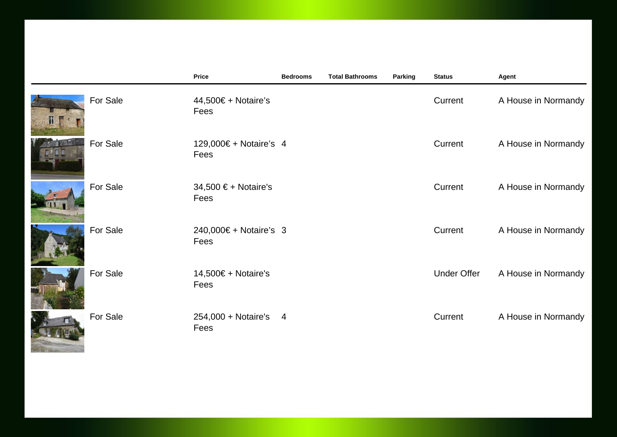|          | <b>Price</b>                   | <b>Bedrooms</b> | <b>Total Bathrooms</b> | Parking | <b>Status</b>      | Agent               |
|----------|--------------------------------|-----------------|------------------------|---------|--------------------|---------------------|
| For Sale | 44,500€ + Notaire's<br>Fees    |                 |                        |         | Current            | A House in Normandy |
| For Sale | 129,000€ + Notaire's 4<br>Fees |                 |                        |         | Current            | A House in Normandy |
| For Sale | 34,500 € + Notaire's<br>Fees   |                 |                        |         | Current            | A House in Normandy |
| For Sale | 240,000€ + Notaire's 3<br>Fees |                 |                        |         | Current            | A House in Normandy |
| For Sale | 14,500€ + Notaire's<br>Fees    |                 |                        |         | <b>Under Offer</b> | A House in Normandy |
| For Sale | 254,000 + Notaire's 4<br>Fees  |                 |                        |         | Current            | A House in Normandy |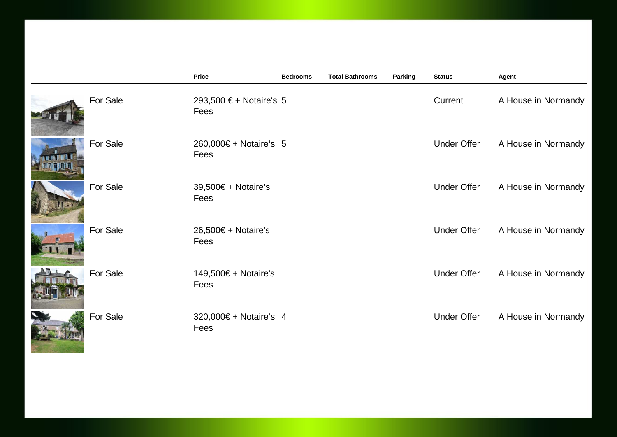|          | <b>Price</b>                    | <b>Bedrooms</b> | <b>Total Bathrooms</b> | Parking | <b>Status</b>      | Agent               |
|----------|---------------------------------|-----------------|------------------------|---------|--------------------|---------------------|
| For Sale | 293,500 € + Notaire's 5<br>Fees |                 |                        |         | Current            | A House in Normandy |
| For Sale | 260,000€ + Notaire's 5<br>Fees  |                 |                        |         | <b>Under Offer</b> | A House in Normandy |
| For Sale | 39,500€ + Notaire's<br>Fees     |                 |                        |         | <b>Under Offer</b> | A House in Normandy |
| For Sale | $26,500€ + Notaire's$<br>Fees   |                 |                        |         | <b>Under Offer</b> | A House in Normandy |
| For Sale | 149,500€ + Notaire's<br>Fees    |                 |                        |         | <b>Under Offer</b> | A House in Normandy |
| For Sale | 320,000€ + Notaire's 4<br>Fees  |                 |                        |         | <b>Under Offer</b> | A House in Normandy |